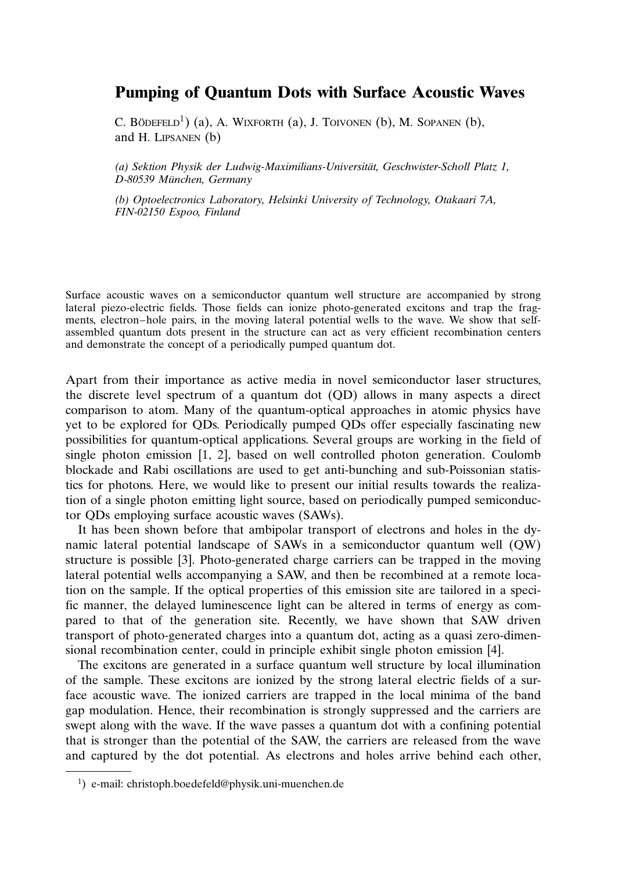## Pumping of Quantum Dots with Surface Acoustic Waves

C. BÖDEFELD<sup>1</sup>) (a), A. WIXFORTH (a), J. TOIVONEN (b), M. SOPANEN (b), and H. Lipsanen (b)

(a) Sektion Physik der Ludwig-Maximilians-Universität, Geschwister-Scholl Platz 1, D-80539 München, Germany

(b) Optoelectronics Laboratory, Helsinki University of Technology, Otakaari 7A, FIN-02150 Espoo, Finland

Surface acoustic waves on a semiconductor quantum well structure are accompanied by strong lateral piezo-electric fields. Those fields can ionize photo-generated excitons and trap the fragments, electron–hole pairs, in the moving lateral potential wells to the wave. We show that selfassembled quantum dots present in the structure can act as very efficient recombination centers and demonstrate the concept of a periodically pumped quantum dot.

Apart from their importance as active media in novel semiconductor laser structures, the discrete level spectrum of a quantum dot (QD) allows in many aspects a direct comparison to atom. Many of the quantum-optical approaches in atomic physics have yet to be explored for QDs. Periodically pumped QDs offer especially fascinating new possibilities for quantum-optical applications. Several groups are working in the field of single photon emission [1, 2], based on well controlled photon generation. Coulomb blockade and Rabi oscillations are used to get anti-bunching and sub-Poissonian statistics for photons. Here, we would like to present our initial results towards the realization of a single photon emitting light source, based on periodically pumped semiconductor QDs employing surface acoustic waves (SAWs).

It has been shown before that ambipolar transport of electrons and holes in the dynamic lateral potential landscape of SAWs in a semiconductor quantum well (QW) structure is possible [3]. Photo-generated charge carriers can be trapped in the moving lateral potential wells accompanying a SAW, and then be recombined at a remote location on the sample. If the optical properties of this emission site are tailored in a specific manner, the delayed luminescence light can be altered in terms of energy as compared to that of the generation site. Recently, we have shown that SAW driven transport of photo-generated charges into a quantum dot, acting as a quasi zero-dimensional recombination center, could in principle exhibit single photon emission [4].

The excitons are generated in a surface quantum well structure by local illumination of the sample. These excitons are ionized by the strong lateral electric fields of a surface acoustic wave. The ionized carriers are trapped in the local minima of the band gap modulation. Hence, their recombination is strongly suppressed and the carriers are swept along with the wave. If the wave passes a quantum dot with a confining potential that is stronger than the potential of the SAW, the carriers are released from the wave and captured by the dot potential. As electrons and holes arrive behind each other,

<sup>1</sup> ) e-mail: christoph.boedefeld@physik.uni-muenchen.de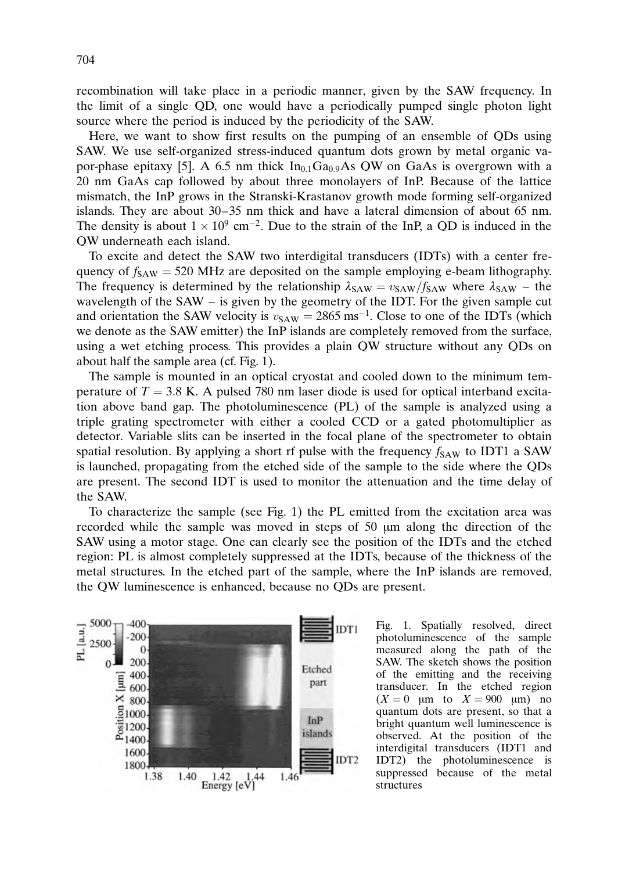recombination will take place in a periodic manner, given by the SAW frequency. In the limit of a single QD, one would have a periodically pumped single photon light source where the period is induced by the periodicity of the SAW.

Here, we want to show first results on the pumping of an ensemble of QDs using SAW. We use self-organized stress-induced quantum dots grown by metal organic vapor-phase epitaxy [5]. A 6.5 nm thick  $In<sub>0.1</sub>Ga<sub>0.9</sub>As QW$  on GaAs is overgrown with a 20 nm GaAs cap followed by about three monolayers of InP. Because of the lattice mismatch, the InP grows in the Stranski-Krastanov growth mode forming self-organized islands. They are about 30–35 nm thick and have a lateral dimension of about 65 nm. The density is about  $1 \times 10^{9}$  cm<sup>-2</sup>. Due to the strain of the InP, a QD is induced in the QW underneath each island.

To excite and detect the SAW two interdigital transducers (IDTs) with a center frequency of  $f_{SAW}$  = 520 MHz are deposited on the sample employing e-beam lithography. The frequency is determined by the relationship  $\lambda_{SAW} = v_{SAW}/f_{SAW}$  where  $\lambda_{SAW}$  – the wavelength of the SAW – is given by the geometry of the IDT. For the given sample cut and orientation the SAW velocity is  $v_{SAW} = 2865 \text{ ms}^{-1}$ . Close to one of the IDTs (which we denote as the SAW emitter) the InP islands are completely removed from the surface, using a wet etching process. This provides a plain QW structure without any QDs on about half the sample area (cf. Fig. 1).

The sample is mounted in an optical cryostat and cooled down to the minimum temperature of  $T = 3.8$  K. A pulsed 780 nm laser diode is used for optical interband excitation above band gap. The photoluminescence (PL) of the sample is analyzed using a triple grating spectrometer with either a cooled CCD or a gated photomultiplier as detector. Variable slits can be inserted in the focal plane of the spectrometer to obtain spatial resolution. By applying a short rf pulse with the frequency  $f_{SAW}$  to IDT1 a SAW is launched, propagating from the etched side of the sample to the side where the QDs are present. The second IDT is used to monitor the attenuation and the time delay of the SAW.

To characterize the sample (see Fig. 1) the PL emitted from the excitation area was recorded while the sample was moved in steps of  $50 \mu m$  along the direction of the SAW using a motor stage. One can clearly see the position of the IDTs and the etched region: PL is almost completely suppressed at the IDTs, because of the thickness of the metal structures. In the etched part of the sample, where the InP islands are removed, the QW luminescence is enhanced, because no QDs are present.



Fig. 1. Spatially resolved, direct photoluminescence of the sample measured along the path of the SAW. The sketch shows the position of the emitting and the receiving transducer. In the etched region  $(X = 0 \mu m)$  to  $X = 900 \mu m$  no quantum dots are present, so that a bright quantum well luminescence is observed. At the position of the interdigital transducers (IDT1 and IDT2) the photoluminescence is suppressed because of the metal structures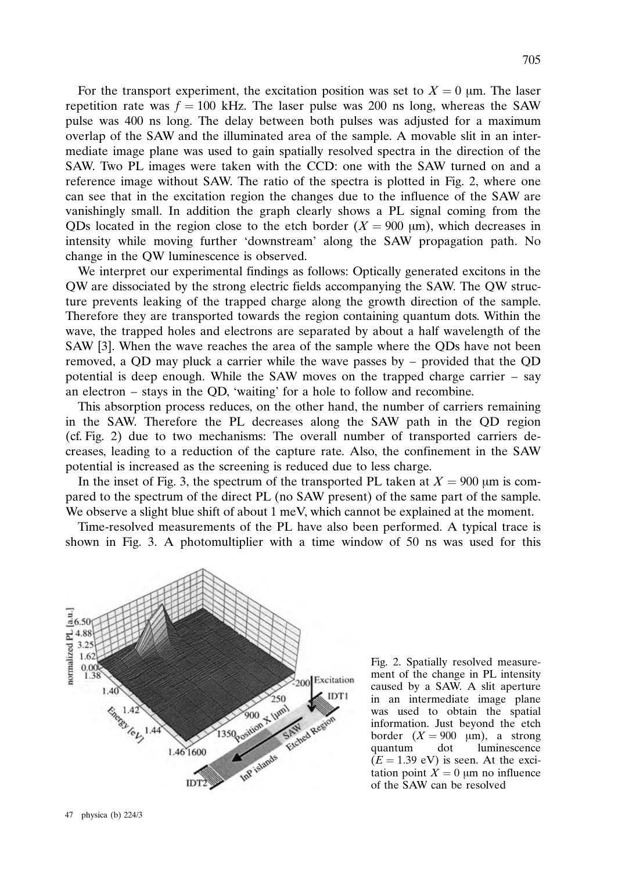For the transport experiment, the excitation position was set to  $X = 0$  µm. The laser repetition rate was  $f = 100$  kHz. The laser pulse was 200 ns long, whereas the SAW pulse was 400 ns long. The delay between both pulses was adjusted for a maximum overlap of the SAW and the illuminated area of the sample. A movable slit in an intermediate image plane was used to gain spatially resolved spectra in the direction of the SAW. Two PL images were taken with the CCD: one with the SAW turned on and a reference image without SAW. The ratio of the spectra is plotted in Fig. 2, where one can see that in the excitation region the changes due to the influence of the SAW are vanishingly small. In addition the graph clearly shows a PL signal coming from the QDs located in the region close to the etch border  $(X = 900 \text{ µm})$ , which decreases in intensity while moving further 'downstream' along the SAW propagation path. No change in the QW luminescence is observed.

We interpret our experimental findings as follows: Optically generated excitons in the QW are dissociated by the strong electric fields accompanying the SAW. The QW structure prevents leaking of the trapped charge along the growth direction of the sample. Therefore they are transported towards the region containing quantum dots. Within the wave, the trapped holes and electrons are separated by about a half wavelength of the SAW [3]. When the wave reaches the area of the sample where the QDs have not been removed, a QD may pluck a carrier while the wave passes by – provided that the QD potential is deep enough. While the SAW moves on the trapped charge carrier – say an electron – stays in the QD, 'waiting' for a hole to follow and recombine.

This absorption process reduces, on the other hand, the number of carriers remaining in the SAW. Therefore the PL decreases along the SAW path in the QD region (cf. Fig. 2) due to two mechanisms: The overall number of transported carriers decreases, leading to a reduction of the capture rate. Also, the confinement in the SAW potential is increased as the screening is reduced due to less charge.

In the inset of Fig. 3, the spectrum of the transported PL taken at  $X = 900 \mu m$  is compared to the spectrum of the direct PL (no SAW present) of the same part of the sample. We observe a slight blue shift of about 1 meV, which cannot be explained at the moment.

Time-resolved measurements of the PL have also been performed. A typical trace is shown in Fig. 3. A photomultiplier with a time window of 50 ns was used for this



Fig. 2. Spatially resolved measurement of the change in PL intensity caused by a SAW. A slit aperture in an intermediate image plane was used to obtain the spatial information. Just beyond the etch border  $(X = 900 \text{ \mu m})$ , a strong quantum dot luminescence  $(E = 1.39$  eV) is seen. At the excitation point  $X = 0$  µm no influence of the SAW can be resolved